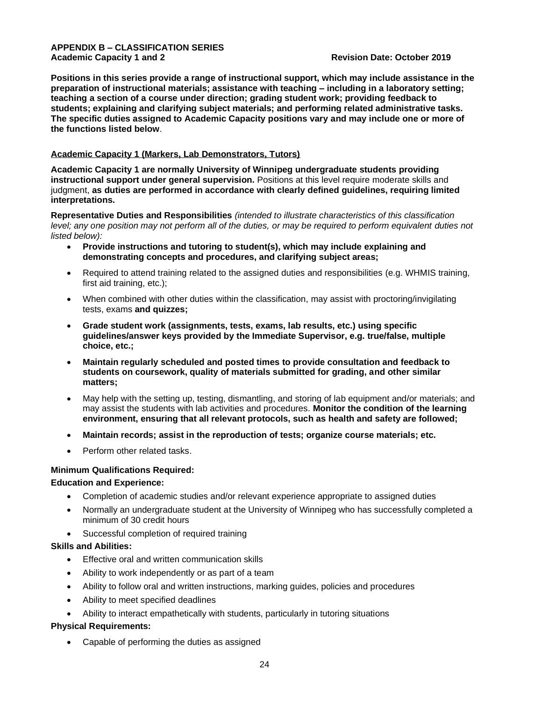### **APPENDIX B – CLASSIFICATION SERIES Academic Capacity 1 and 2 Revision Date: October 2019**

**Positions in this series provide a range of instructional support, which may include assistance in the preparation of instructional materials; assistance with teaching – including in a laboratory setting; teaching a section of a course under direction; grading student work; providing feedback to students; explaining and clarifying subject materials; and performing related administrative tasks. The specific duties assigned to Academic Capacity positions vary and may include one or more of the functions listed below**.

# **Academic Capacity 1 (Markers, Lab Demonstrators, Tutors)**

**Academic Capacity 1 are normally University of Winnipeg undergraduate students providing instructional support under general supervision.** Positions at this level require moderate skills and judgment, **as duties are performed in accordance with clearly defined guidelines, requiring limited interpretations.**

**Representative Duties and Responsibilities** *(intended to illustrate characteristics of this classification level; any one position may not perform all of the duties, or may be required to perform equivalent duties not listed below):*

- **Provide instructions and tutoring to student(s), which may include explaining and demonstrating concepts and procedures, and clarifying subject areas;**
- Required to attend training related to the assigned duties and responsibilities (e.g. WHMIS training, first aid training, etc.);
- When combined with other duties within the classification, may assist with proctoring/invigilating tests, exams **and quizzes;**
- **Grade student work (assignments, tests, exams, lab results, etc.) using specific guidelines/answer keys provided by the Immediate Supervisor, e.g. true/false, multiple choice, etc.;**
- **Maintain regularly scheduled and posted times to provide consultation and feedback to students on coursework, quality of materials submitted for grading, and other similar matters;**
- May help with the setting up, testing, dismantling, and storing of lab equipment and/or materials; and may assist the students with lab activities and procedures. **Monitor the condition of the learning environment, ensuring that all relevant protocols, such as health and safety are followed;**
- **Maintain records; assist in the reproduction of tests; organize course materials; etc.**
- Perform other related tasks.

# **Minimum Qualifications Required:**

# **Education and Experience:**

- Completion of academic studies and/or relevant experience appropriate to assigned duties
- Normally an undergraduate student at the University of Winnipeg who has successfully completed a minimum of 30 credit hours
- Successful completion of required training

# **Skills and Abilities:**

- Effective oral and written communication skills
- Ability to work independently or as part of a team
- Ability to follow oral and written instructions, marking guides, policies and procedures
- Ability to meet specified deadlines
- Ability to interact empathetically with students, particularly in tutoring situations

### **Physical Requirements:**

• Capable of performing the duties as assigned